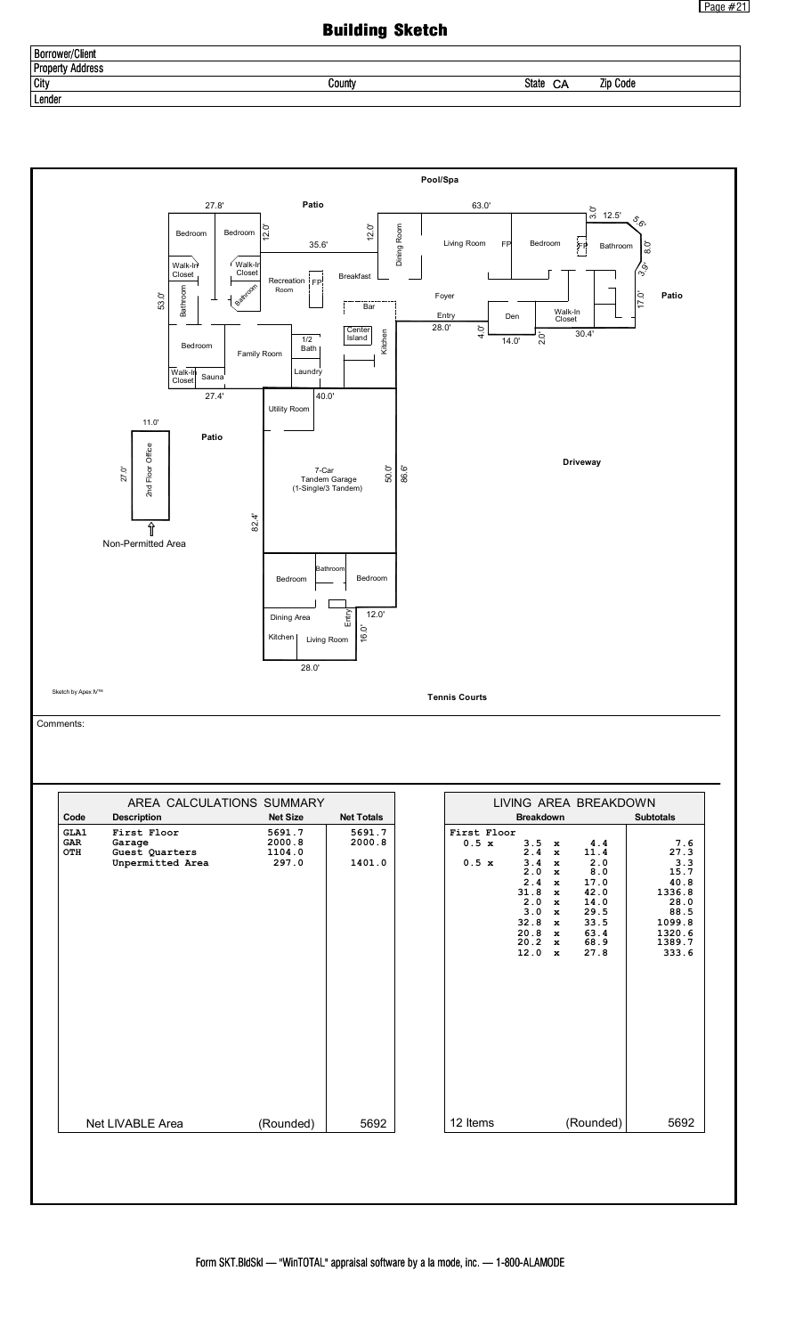## Building Sketch

| Borrower/C<br>/Client                 |        |                          |      |
|---------------------------------------|--------|--------------------------|------|
| . .<br><b>Prope</b><br>Address<br>ייד |        |                          |      |
| <b>City</b>                           | County | <b>State</b><br>Zid<br>◡ | Code |
| Lender                                |        |                          |      |

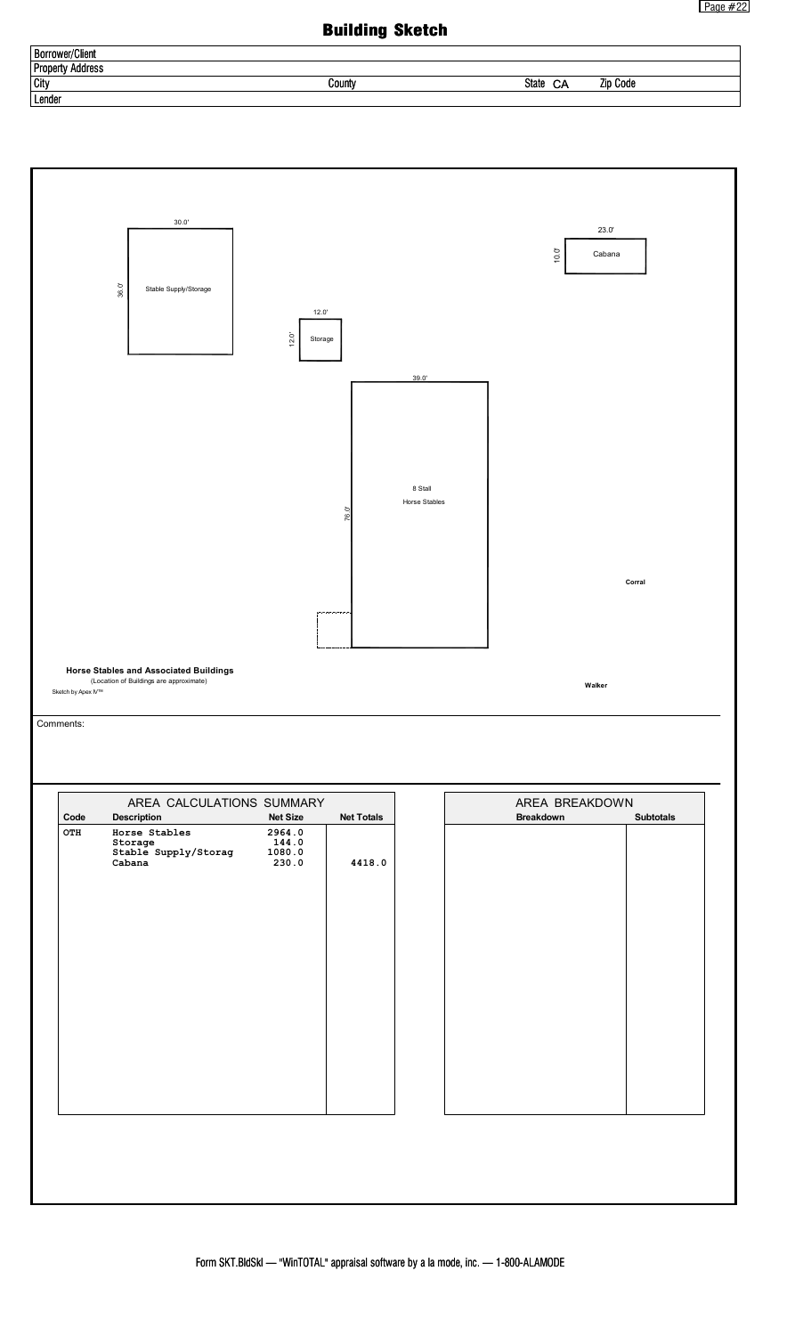## Building Sketch

| <b>Borrower</b><br>*/Client     |        |                                |  |
|---------------------------------|--------|--------------------------------|--|
| Address<br><b>Prope</b><br>ertv |        |                                |  |
| City                            | County | State<br><b>Zip Code</b><br>CА |  |
| Lender                          |        |                                |  |